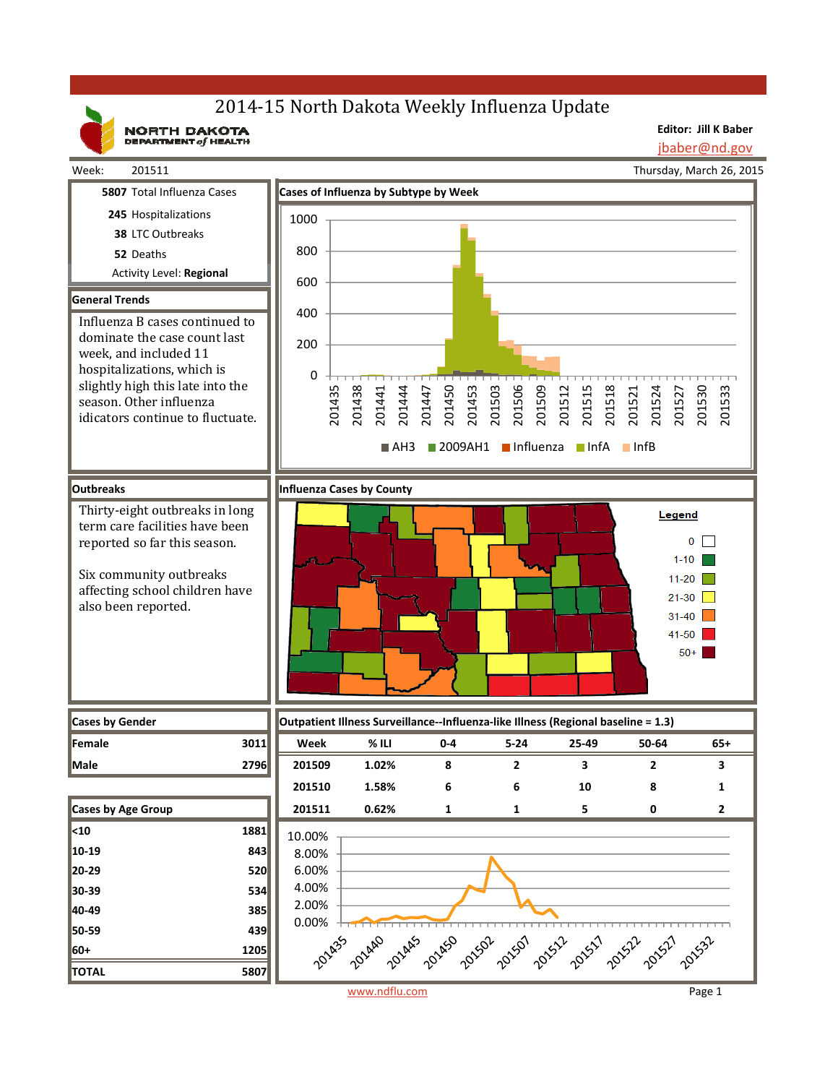# 2014-15 North Dakota Weekly Influenza Update

NORTH DAKOTA

**Editor: Jill K Baber** jbaber@nd.gov

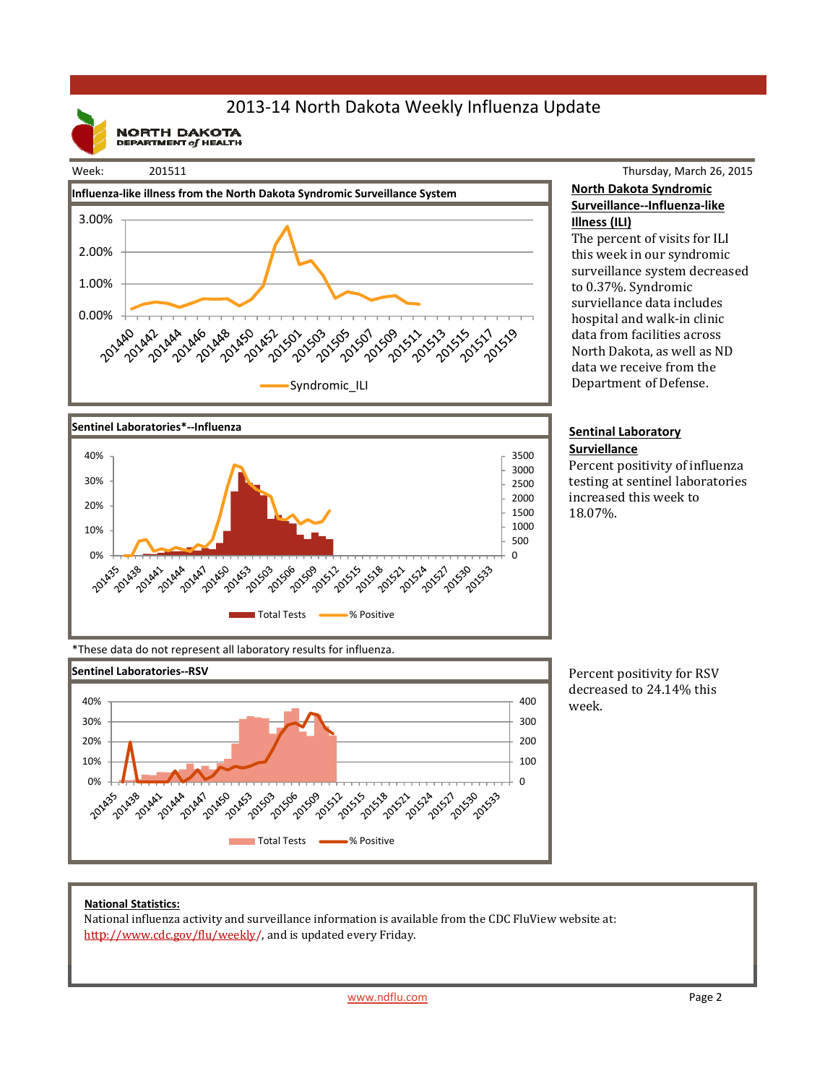## 2013‐14 North Dakota Weekly Influenza Update

**NORTH DAKOTA**<br>DEPARTMENT of HEALTH

### Week: 201511





#### Thursday, March 26, 2015 **North Dakota Syndromic Surveillance‐‐Influenza‐like Illness (ILI)**

The percent of visits for ILI this week in our syndromic surveillance system decreased to 0.37%. Syndromic surviellance data includes hospital and walk-in clinic data from facilities across North Dakota, as well as ND data we receive from the Department of Defense.

#### **Sentinal Laboratory Surviellance**

Percent positivity of influenza testing at sentinel laboratories increased this week to 18.07%. 

\*These data do not represent all laboratory results for influenza.



Percent positivity for RSV decreased to 24.14% this week.

#### **National Statistics:**

National influenza activity and surveillance information is available from the CDC FluView website at: http://www.cdc.gov/flu/weekly/, and is updated every Friday.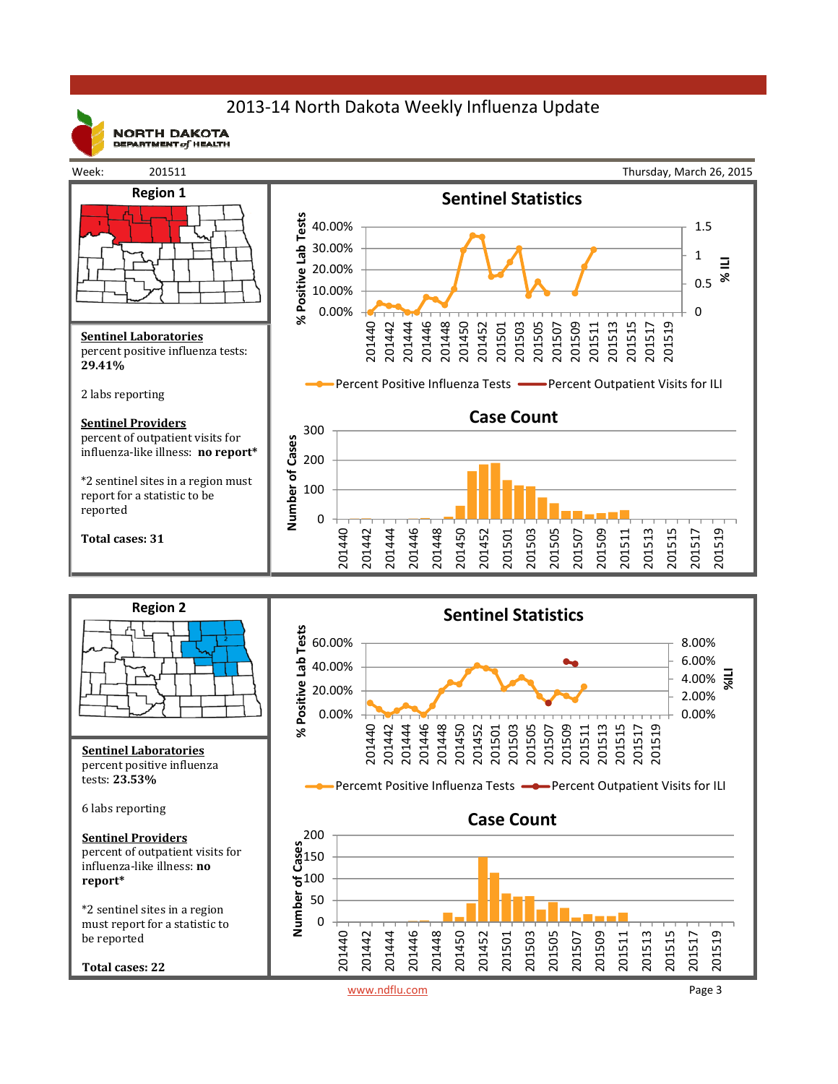## 2013‐14 North Dakota Weekly Influenza Update



**NORTH DAKOTA** DEPARTMENT  $of$  HEALTH